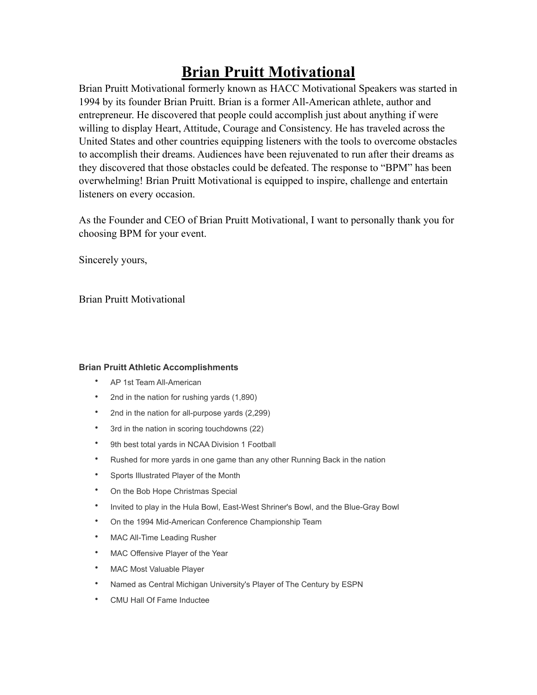# **Brian Pruitt Motivational**

Brian Pruitt Motivational formerly known as HACC Motivational Speakers was started in 1994 by its founder Brian Pruitt. Brian is a former All-American athlete, author and entrepreneur. He discovered that people could accomplish just about anything if were willing to display Heart, Attitude, Courage and Consistency. He has traveled across the United States and other countries equipping listeners with the tools to overcome obstacles to accomplish their dreams. Audiences have been rejuvenated to run after their dreams as they discovered that those obstacles could be defeated. The response to "BPM" has been overwhelming! Brian Pruitt Motivational is equipped to inspire, challenge and entertain listeners on every occasion.

As the Founder and CEO of Brian Pruitt Motivational, I want to personally thank you for choosing BPM for your event.

Sincerely yours,

Brian Pruitt Motivational

#### **Brian Pruitt Athletic Accomplishments**

- AP 1st Team All-American
- 2nd in the nation for rushing yards (1,890)
- 2nd in the nation for all-purpose yards (2,299)
- 3rd in the nation in scoring touchdowns (22)
- 9th best total yards in NCAA Division 1 Football
- Rushed for more yards in one game than any other Running Back in the nation
- Sports Illustrated Player of the Month
- On the Bob Hope Christmas Special
- Invited to play in the Hula Bowl, East-West Shriner's Bowl, and the Blue-Gray Bowl
- On the 1994 Mid-American Conference Championship Team
- MAC All-Time Leading Rusher
- MAC Offensive Player of the Year
- MAC Most Valuable Player
- Named as Central Michigan University's Player of The Century by ESPN
- CMU Hall Of Fame Inductee